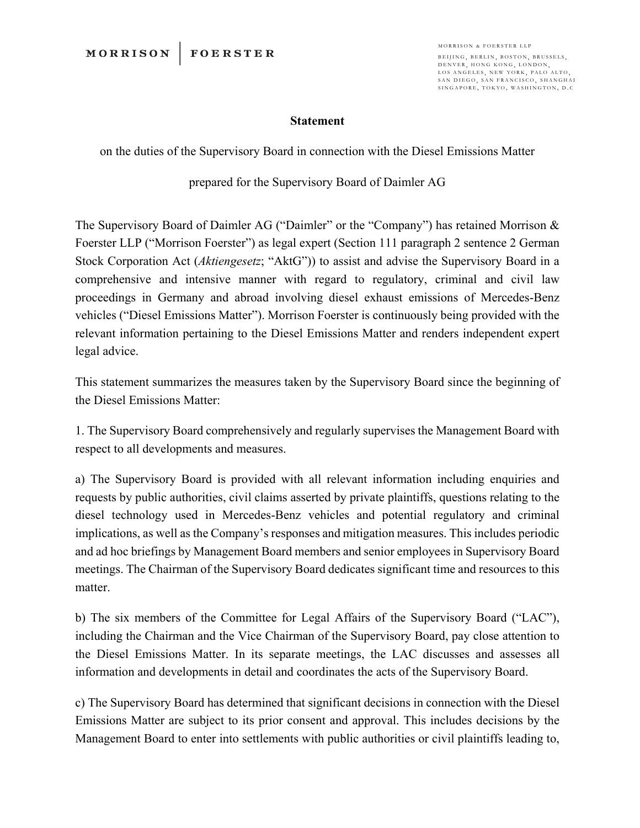## **Statement**

on the duties of the Supervisory Board in connection with the Diesel Emissions Matter

prepared for the Supervisory Board of Daimler AG

The Supervisory Board of Daimler AG ("Daimler" or the "Company") has retained Morrison & Foerster LLP ("Morrison Foerster") as legal expert (Section 111 paragraph 2 sentence 2 German Stock Corporation Act (*Aktiengesetz*; "AktG")) to assist and advise the Supervisory Board in a comprehensive and intensive manner with regard to regulatory, criminal and civil law proceedings in Germany and abroad involving diesel exhaust emissions of Mercedes-Benz vehicles ("Diesel Emissions Matter"). Morrison Foerster is continuously being provided with the relevant information pertaining to the Diesel Emissions Matter and renders independent expert legal advice.

This statement summarizes the measures taken by the Supervisory Board since the beginning of the Diesel Emissions Matter:

1. The Supervisory Board comprehensively and regularly supervises the Management Board with respect to all developments and measures.

a) The Supervisory Board is provided with all relevant information including enquiries and requests by public authorities, civil claims asserted by private plaintiffs, questions relating to the diesel technology used in Mercedes-Benz vehicles and potential regulatory and criminal implications, as well as the Company's responses and mitigation measures. This includes periodic and ad hoc briefings by Management Board members and senior employees in Supervisory Board meetings. The Chairman of the Supervisory Board dedicates significant time and resources to this matter.

b) The six members of the Committee for Legal Affairs of the Supervisory Board ("LAC"), including the Chairman and the Vice Chairman of the Supervisory Board, pay close attention to the Diesel Emissions Matter. In its separate meetings, the LAC discusses and assesses all information and developments in detail and coordinates the acts of the Supervisory Board.

c) The Supervisory Board has determined that significant decisions in connection with the Diesel Emissions Matter are subject to its prior consent and approval. This includes decisions by the Management Board to enter into settlements with public authorities or civil plaintiffs leading to,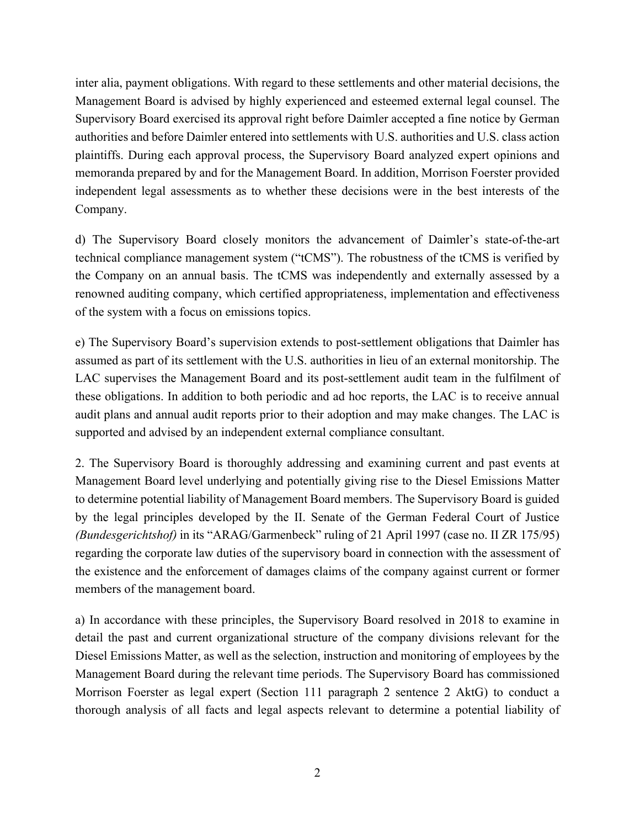inter alia, payment obligations. With regard to these settlements and other material decisions, the Management Board is advised by highly experienced and esteemed external legal counsel. The Supervisory Board exercised its approval right before Daimler accepted a fine notice by German authorities and before Daimler entered into settlements with U.S. authorities and U.S. class action plaintiffs. During each approval process, the Supervisory Board analyzed expert opinions and memoranda prepared by and for the Management Board. In addition, Morrison Foerster provided independent legal assessments as to whether these decisions were in the best interests of the Company.

d) The Supervisory Board closely monitors the advancement of Daimler's state-of-the-art technical compliance management system ("tCMS"). The robustness of the tCMS is verified by the Company on an annual basis. The tCMS was independently and externally assessed by a renowned auditing company, which certified appropriateness, implementation and effectiveness of the system with a focus on emissions topics.

e) The Supervisory Board's supervision extends to post-settlement obligations that Daimler has assumed as part of its settlement with the U.S. authorities in lieu of an external monitorship. The LAC supervises the Management Board and its post-settlement audit team in the fulfilment of these obligations. In addition to both periodic and ad hoc reports, the LAC is to receive annual audit plans and annual audit reports prior to their adoption and may make changes. The LAC is supported and advised by an independent external compliance consultant.

2. The Supervisory Board is thoroughly addressing and examining current and past events at Management Board level underlying and potentially giving rise to the Diesel Emissions Matter to determine potential liability of Management Board members. The Supervisory Board is guided by the legal principles developed by the II. Senate of the German Federal Court of Justice *(Bundesgerichtshof)* in its "ARAG/Garmenbeck" ruling of 21 April 1997 (case no. II ZR 175/95) regarding the corporate law duties of the supervisory board in connection with the assessment of the existence and the enforcement of damages claims of the company against current or former members of the management board.

a) In accordance with these principles, the Supervisory Board resolved in 2018 to examine in detail the past and current organizational structure of the company divisions relevant for the Diesel Emissions Matter, as well as the selection, instruction and monitoring of employees by the Management Board during the relevant time periods. The Supervisory Board has commissioned Morrison Foerster as legal expert (Section 111 paragraph 2 sentence 2 AktG) to conduct a thorough analysis of all facts and legal aspects relevant to determine a potential liability of